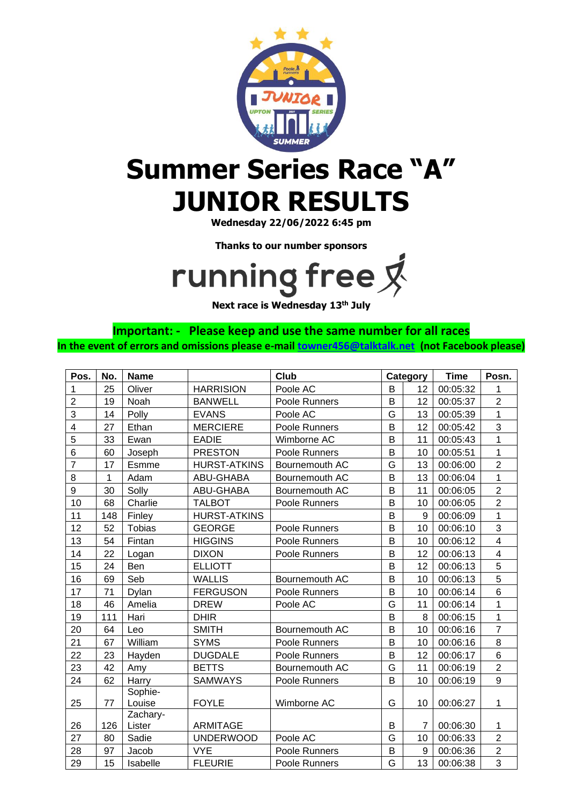

## **Summer Series Race "A" JUNIOR RESULTS**

**Wednesday 22/06/2022 6:45 pm**

**Thanks to our number sponsors**

## running free 又

**Next race is Wednesday 13th July**

**Important: - Please keep and use the same number for all races In the event of errors and omissions please e-mail [towner456@talktalk.net](mailto:towner456@talktalk.net) (not Facebook please)**

| Pos.                    | No. | <b>Name</b>        |                     | <b>Club</b>    | Category |    | <b>Time</b> | Posn.                   |
|-------------------------|-----|--------------------|---------------------|----------------|----------|----|-------------|-------------------------|
| 1                       | 25  | Oliver             | <b>HARRISION</b>    | Poole AC       | B        | 12 | 00:05:32    | 1                       |
| $\overline{2}$          | 19  | Noah               | <b>BANWELL</b>      | Poole Runners  | B        | 12 | 00:05:37    | $\overline{2}$          |
| 3                       | 14  | Polly              | <b>EVANS</b>        | Poole AC       | G        | 13 | 00:05:39    | $\mathbf{1}$            |
| $\overline{\mathbf{4}}$ | 27  | Ethan              | <b>MERCIERE</b>     | Poole Runners  | B        | 12 | 00:05:42    | 3                       |
| 5                       | 33  | Ewan               | <b>EADIE</b>        | Wimborne AC    | B        | 11 | 00:05:43    | $\mathbf{1}$            |
| 6                       | 60  | Joseph             | <b>PRESTON</b>      | Poole Runners  | B        | 10 | 00:05:51    | $\mathbf{1}$            |
| $\overline{7}$          | 17  | Esmme              | <b>HURST-ATKINS</b> | Bournemouth AC | G        | 13 | 00:06:00    | $\overline{2}$          |
| 8                       | 1   | Adam               | ABU-GHABA           | Bournemouth AC | B        | 13 | 00:06:04    | $\mathbf{1}$            |
| 9                       | 30  | Solly              | ABU-GHABA           | Bournemouth AC | B        | 11 | 00:06:05    | $\overline{2}$          |
| 10                      | 68  | Charlie            | <b>TALBOT</b>       | Poole Runners  | B        | 10 | 00:06:05    | $\overline{2}$          |
| 11                      | 148 | Finley             | <b>HURST-ATKINS</b> |                | B        | 9  | 00:06:09    | $\mathbf{1}$            |
| 12                      | 52  | <b>Tobias</b>      | <b>GEORGE</b>       | Poole Runners  | B        | 10 | 00:06:10    | 3                       |
| 13                      | 54  | Fintan             | <b>HIGGINS</b>      | Poole Runners  | B        | 10 | 00:06:12    | $\overline{4}$          |
| 14                      | 22  | Logan              | <b>DIXON</b>        | Poole Runners  | B        | 12 | 00:06:13    | $\overline{\mathbf{4}}$ |
| 15                      | 24  | Ben                | <b>ELLIOTT</b>      |                | B        | 12 | 00:06:13    | 5                       |
| 16                      | 69  | Seb                | <b>WALLIS</b>       | Bournemouth AC | B        | 10 | 00:06:13    | 5                       |
| 17                      | 71  | Dylan              | <b>FERGUSON</b>     | Poole Runners  | B        | 10 | 00:06:14    | 6                       |
| 18                      | 46  | Amelia             | <b>DREW</b>         | Poole AC       | G        | 11 | 00:06:14    | $\mathbf{1}$            |
| 19                      | 111 | Hari               | <b>DHIR</b>         |                | B        | 8  | 00:06:15    | $\mathbf{1}$            |
| 20                      | 64  | Leo                | <b>SMITH</b>        | Bournemouth AC | B        | 10 | 00:06:16    | $\overline{7}$          |
| 21                      | 67  | William            | <b>SYMS</b>         | Poole Runners  | B        | 10 | 00:06:16    | 8                       |
| 22                      | 23  | Hayden             | <b>DUGDALE</b>      | Poole Runners  | B        | 12 | 00:06:17    | 6                       |
| 23                      | 42  | Amy                | <b>BETTS</b>        | Bournemouth AC | G        | 11 | 00:06:19    | $\overline{2}$          |
| 24                      | 62  | Harry              | <b>SAMWAYS</b>      | Poole Runners  | B        | 10 | 00:06:19    | $\overline{9}$          |
| 25                      | 77  | Sophie-<br>Louise  | <b>FOYLE</b>        | Wimborne AC    | G        | 10 | 00:06:27    | $\mathbf{1}$            |
| 26                      | 126 | Zachary-<br>Lister | <b>ARMITAGE</b>     |                | B        | 7  | 00:06:30    | $\mathbf{1}$            |
| 27                      | 80  | Sadie              | <b>UNDERWOOD</b>    | Poole AC       | G        | 10 | 00:06:33    | $\overline{2}$          |
| 28                      | 97  | Jacob              | <b>VYE</b>          | Poole Runners  | B        | 9  | 00:06:36    | $\overline{2}$          |
| 29                      | 15  | Isabelle           | <b>FLEURIE</b>      | Poole Runners  | G        | 13 | 00:06:38    | 3                       |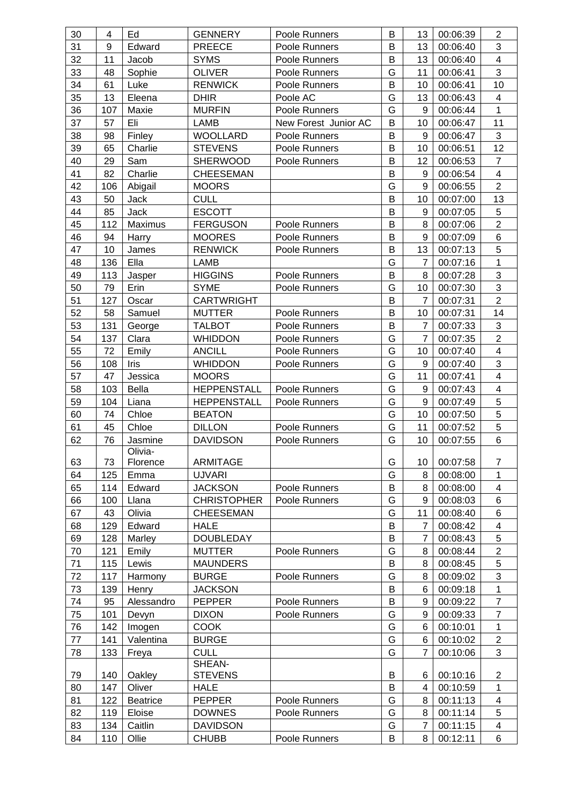| 30       | 4          | Ed               | <b>GENNERY</b>                  | Poole Runners                  | B      | 13                  | 00:06:39             | $\overline{2}$          |
|----------|------------|------------------|---------------------------------|--------------------------------|--------|---------------------|----------------------|-------------------------|
| 31       | 9          | Edward           | <b>PREECE</b>                   | Poole Runners                  | B      | 13                  | 00:06:40             | 3                       |
| 32       | 11         | Jacob            | <b>SYMS</b>                     | Poole Runners                  | B      | 13                  | 00:06:40             | $\overline{4}$          |
| 33       | 48         | Sophie           | <b>OLIVER</b>                   | Poole Runners                  | G      | 11                  | 00:06:41             | 3                       |
| 34       | 61         | Luke             | <b>RENWICK</b>                  | Poole Runners                  | B      | 10                  | 00:06:41             | 10                      |
| 35       | 13         | Eleena           | <b>DHIR</b>                     | Poole AC                       | G      | 13                  | 00:06:43             | $\overline{\mathbf{4}}$ |
| 36       | 107        | Maxie            | <b>MURFIN</b>                   | Poole Runners                  | G      | 9                   | 00:06:44             | 1                       |
| 37       | 57         | Eli              | LAMB                            | New Forest Junior AC           | B      | 10                  | 00:06:47             | 11                      |
| 38       | 98         | Finley           | <b>WOOLLARD</b>                 | Poole Runners                  | B      | 9                   | 00:06:47             | 3                       |
| 39       | 65         | Charlie          | <b>STEVENS</b>                  | Poole Runners                  | В      | 10                  | 00:06:51             | 12                      |
| 40       | 29         | Sam              | <b>SHERWOOD</b>                 | Poole Runners                  | В      | 12                  | 00:06:53             | $\overline{7}$          |
| 41       | 82         | Charlie          | <b>CHEESEMAN</b>                |                                | B      | 9                   | 00:06:54             | 4                       |
| 42       | 106        | Abigail          | <b>MOORS</b>                    |                                | G      | 9                   | 00:06:55             | $\overline{2}$          |
| 43       | 50         | Jack             | <b>CULL</b>                     |                                | B      | 10                  | 00:07:00             | 13                      |
| 44       | 85         | Jack             | <b>ESCOTT</b>                   |                                | B      | 9                   | 00:07:05             | 5                       |
| 45       | 112        | Maximus          | <b>FERGUSON</b>                 | Poole Runners                  | B      | 8                   | 00:07:06             | $\overline{2}$          |
| 46       | 94         | Harry            | <b>MOORES</b>                   | Poole Runners                  | B      | 9                   | 00:07:09             | 6                       |
| 47       | 10         | James            | <b>RENWICK</b>                  | Poole Runners                  | B      | 13                  | 00:07:13             | 5                       |
| 48       | 136        | Ella             | LAMB                            |                                | G      | $\overline{7}$      | 00:07:16             | $\mathbf{1}$            |
| 49       | 113        | Jasper           | <b>HIGGINS</b>                  | Poole Runners                  | B      | 8                   | 00:07:28             | 3                       |
| 50       | 79         | Erin             | <b>SYME</b>                     | Poole Runners                  | G      | 10                  | 00:07:30             | 3                       |
| 51       | 127        | Oscar            | <b>CARTWRIGHT</b>               |                                | B      | $\overline{7}$      | 00:07:31             | $\overline{2}$          |
| 52       | 58         | Samuel           | <b>MUTTER</b>                   | Poole Runners                  | В      | 10                  | 00:07:31             | 14                      |
| 53       | 131        | George           | <b>TALBOT</b>                   | Poole Runners                  | B      | $\overline{7}$      | 00:07:33             | 3                       |
| 54       | 137        | Clara            | <b>WHIDDON</b>                  | Poole Runners                  | G      | $\overline{7}$      | 00:07:35             | $\overline{2}$          |
| 55       | 72         | Emily            | <b>ANCILL</b>                   | Poole Runners                  | G      | 10                  | 00:07:40             | $\overline{\mathbf{4}}$ |
| 56       | 108        | <b>Iris</b>      | <b>WHIDDON</b>                  | Poole Runners                  | G      | 9                   | 00:07:40             | 3                       |
| 57       | 47         | Jessica          | <b>MOORS</b>                    |                                | G      | 11                  | 00:07:41             | $\overline{4}$          |
| 58       | 103        | Bella            | <b>HEPPENSTALL</b>              | Poole Runners                  | G      | 9                   | 00:07:43             | $\overline{\mathbf{4}}$ |
| 59       | 104        | Liana            | <b>HEPPENSTALL</b>              | Poole Runners                  | G      | 9                   | 00:07:49             | 5                       |
| 60       | 74         | Chloe            | <b>BEATON</b>                   |                                | G      | 10                  | 00:07:50             | 5                       |
| 61       | 45         | Chloe            | <b>DILLON</b>                   | Poole Runners                  | G      | 11                  | 00:07:52             | 5                       |
| 62       | 76         | Jasmine          | <b>DAVIDSON</b>                 | Poole Runners                  | G      | 10                  | 00:07:55             | 6                       |
|          |            | Olivia-          |                                 |                                |        |                     |                      |                         |
| 63       | 73         | Florence         | <b>ARMITAGE</b>                 |                                | G      | 10                  | 00:07:58             | $\overline{7}$          |
| 64       | 125        | Emma             | <b>UJVARI</b>                   |                                | G      | 8                   | 00:08:00             | 1                       |
| 65       | 114        | Edward           | <b>JACKSON</b>                  | Poole Runners                  | B      | 8                   | 00:08:00             | $\overline{\mathbf{4}}$ |
| 66       | 100        | Llana            | <b>CHRISTOPHER</b>              | Poole Runners                  | G      | 9                   | 00:08:03             | 6                       |
| 67       | 43         | Olivia           | <b>CHEESEMAN</b>                |                                | G      | 11                  | 00:08:40             | 6                       |
| 68       | 129        | Edward           | <b>HALE</b>                     |                                | B      | $\overline{7}$      | 00:08:42             | $\overline{\mathbf{4}}$ |
| 69       | 128        | Marley           | <b>DOUBLEDAY</b>                |                                | В      | $\overline{7}$      | 00:08:43             | 5                       |
| 70       | 121        | Emily            | <b>MUTTER</b>                   | Poole Runners                  | G      | 8                   | 00:08:44             | $\overline{c}$<br>5     |
| 71<br>72 | 115<br>117 | Lewis            | <b>MAUNDERS</b><br><b>BURGE</b> | Poole Runners                  | Β<br>G | 8<br>8              | 00:08:45             | 3                       |
| 73       | 139        | Harmony<br>Henry | <b>JACKSON</b>                  |                                | B      | 6                   | 00:09:02<br>00:09:18 | 1                       |
|          | 95         |                  | <b>PEPPER</b>                   |                                | B      | 9                   |                      | $\overline{7}$          |
| 74       | 101        | Alessandro       |                                 | Poole Runners<br>Poole Runners | G      | 9                   | 00:09:22             | $\overline{7}$          |
| 75<br>76 | 142        | Devyn            | <b>DIXON</b>                    |                                | G      | 6                   | 00:09:33             |                         |
|          |            | Imogen           | <b>COOK</b>                     |                                |        |                     | 00:10:01             | 1                       |
| 77<br>78 | 141<br>133 | Valentina        | <b>BURGE</b><br><b>CULL</b>     |                                | G<br>G | 6<br>$\overline{7}$ | 00:10:02<br>00:10:06 | $\overline{2}$<br>3     |
|          |            | Freya            | SHEAN-                          |                                |        |                     |                      |                         |
| 79       | 140        | Oakley           | <b>STEVENS</b>                  |                                | В      | 6                   | 00:10:16             | $\overline{2}$          |
| 80       | 147        | Oliver           | <b>HALE</b>                     |                                | B      | 4                   | 00:10:59             | 1                       |
| 81       | 122        | <b>Beatrice</b>  | <b>PEPPER</b>                   | Poole Runners                  | G      | 8                   | 00:11:13             | 4                       |
| 82       | 119        | Eloise           | <b>DOWNES</b>                   | Poole Runners                  | G      | 8                   | 00:11:14             | 5                       |
| 83       | 134        | Caitlin          | <b>DAVIDSON</b>                 |                                | G      | $\overline{7}$      | 00:11:15             | 4                       |
| 84       | 110        | Ollie            | <b>CHUBB</b>                    | Poole Runners                  | B      | 8                   | 00:12:11             | 6                       |
|          |            |                  |                                 |                                |        |                     |                      |                         |